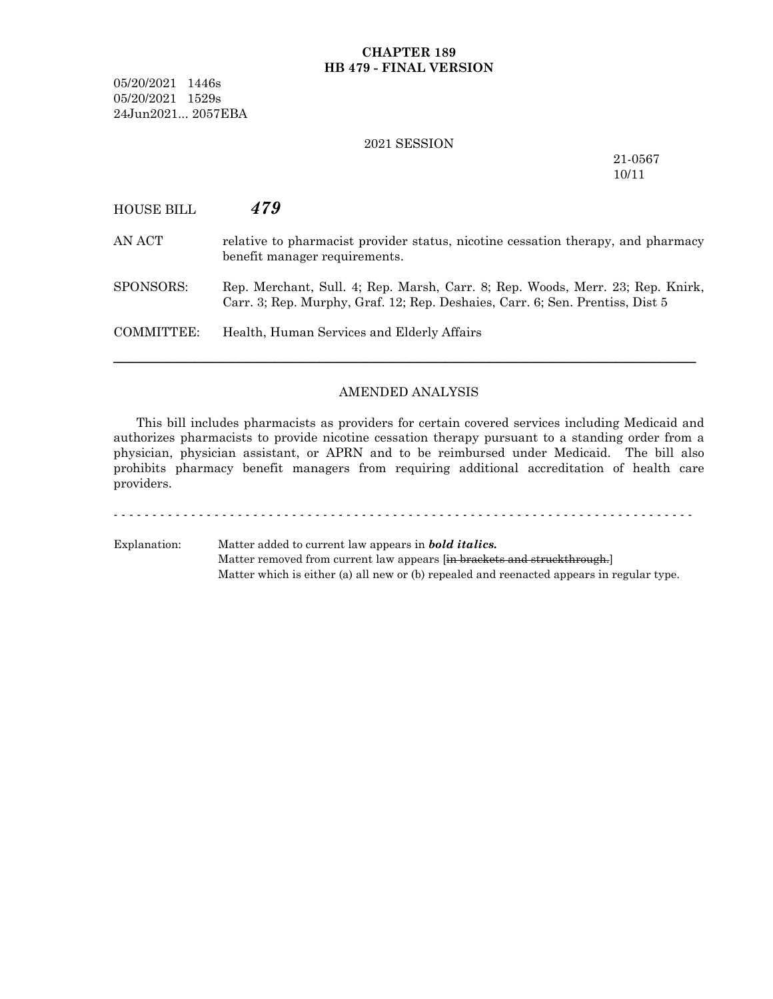### **CHAPTER 189 HB 479 - FINAL VERSION**

05/20/2021 1446s 05/20/2021 1529s 24Jun2021... 2057EBA

#### 2021 SESSION

## 21-0567 10/11

HOUSE BILL *479*

- AN ACT relative to pharmacist provider status, nicotine cessation therapy, and pharmacy benefit manager requirements.
- SPONSORS: Rep. Merchant, Sull. 4; Rep. Marsh, Carr. 8; Rep. Woods, Merr. 23; Rep. Knirk, Carr. 3; Rep. Murphy, Graf. 12; Rep. Deshaies, Carr. 6; Sen. Prentiss, Dist 5

COMMITTEE: Health, Human Services and Elderly Affairs

## AMENDED ANALYSIS

─────────────────────────────────────────────────────────────────

This bill includes pharmacists as providers for certain covered services including Medicaid and authorizes pharmacists to provide nicotine cessation therapy pursuant to a standing order from a physician, physician assistant, or APRN and to be reimbursed under Medicaid. The bill also prohibits pharmacy benefit managers from requiring additional accreditation of health care providers.

- - - - - - - - - - - - - - - - - - - - - - - - - - - - - - - - - - - - - - - - - - - - - - - - - - - - - - - - - - - - - - - - - - - - - - - - - - -

Explanation: Matter added to current law appears in *bold italics.* Matter removed from current law appears [in brackets and struckthrough.] Matter which is either (a) all new or (b) repealed and reenacted appears in regular type.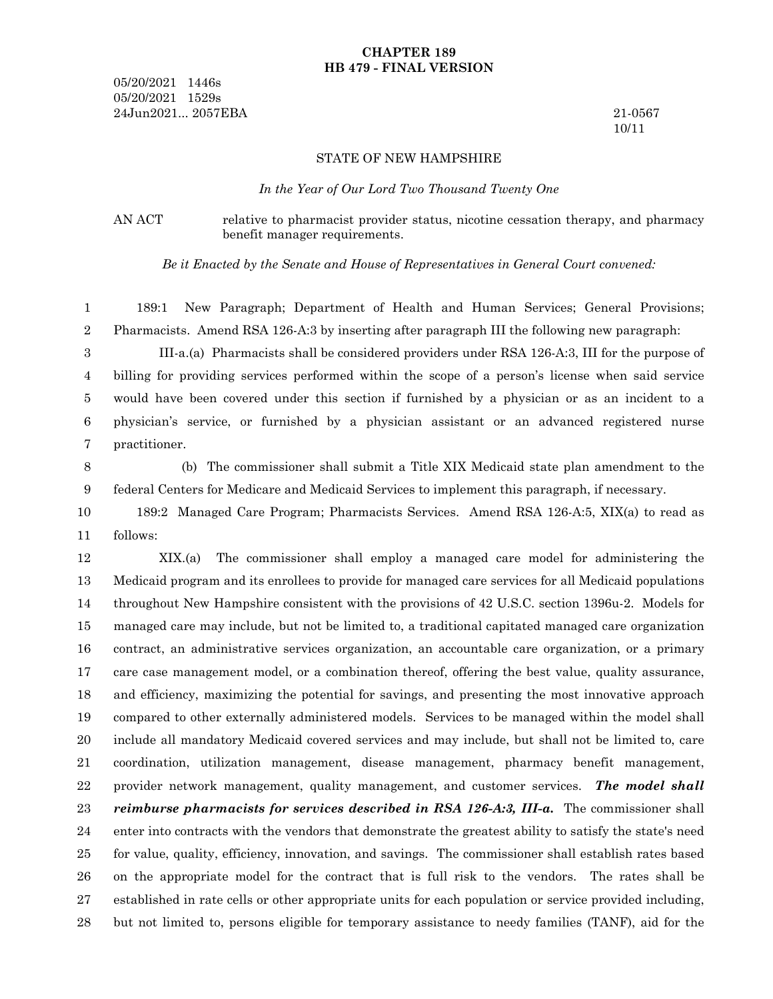05/20/2021 1446s 05/20/2021 1529s 24Jun2021... 2057EBA 21-0567

10/11

#### STATE OF NEW HAMPSHIRE

*In the Year of Our Lord Two Thousand Twenty One*

AN ACT relative to pharmacist provider status, nicotine cessation therapy, and pharmacy benefit manager requirements.

*Be it Enacted by the Senate and House of Representatives in General Court convened:*

189:1 New Paragraph; Department of Health and Human Services; General Provisions; Pharmacists. Amend RSA 126-A:3 by inserting after paragraph III the following new paragraph: 1 2

III-a.(a) Pharmacists shall be considered providers under RSA 126-A:3, III for the purpose of billing for providing services performed within the scope of a person's license when said service would have been covered under this section if furnished by a physician or as an incident to a physician's service, or furnished by a physician assistant or an advanced registered nurse practitioner. 3 4 5 6 7

(b) The commissioner shall submit a Title XIX Medicaid state plan amendment to the federal Centers for Medicare and Medicaid Services to implement this paragraph, if necessary. 8 9

189:2 Managed Care Program; Pharmacists Services. Amend RSA 126-A:5, XIX(a) to read as follows: 10 11

XIX.(a) The commissioner shall employ a managed care model for administering the Medicaid program and its enrollees to provide for managed care services for all Medicaid populations throughout New Hampshire consistent with the provisions of 42 U.S.C. section 1396u-2. Models for managed care may include, but not be limited to, a traditional capitated managed care organization contract, an administrative services organization, an accountable care organization, or a primary care case management model, or a combination thereof, offering the best value, quality assurance, and efficiency, maximizing the potential for savings, and presenting the most innovative approach compared to other externally administered models. Services to be managed within the model shall include all mandatory Medicaid covered services and may include, but shall not be limited to, care coordination, utilization management, disease management, pharmacy benefit management, provider network management, quality management, and customer services. *The model shall reimburse pharmacists for services described in RSA 126-A:3, III-a.* The commissioner shall enter into contracts with the vendors that demonstrate the greatest ability to satisfy the state's need for value, quality, efficiency, innovation, and savings. The commissioner shall establish rates based on the appropriate model for the contract that is full risk to the vendors. The rates shall be established in rate cells or other appropriate units for each population or service provided including, but not limited to, persons eligible for temporary assistance to needy families (TANF), aid for the 12 13 14 15 16 17 18 19 20 21 22 23 24 25 26 27 28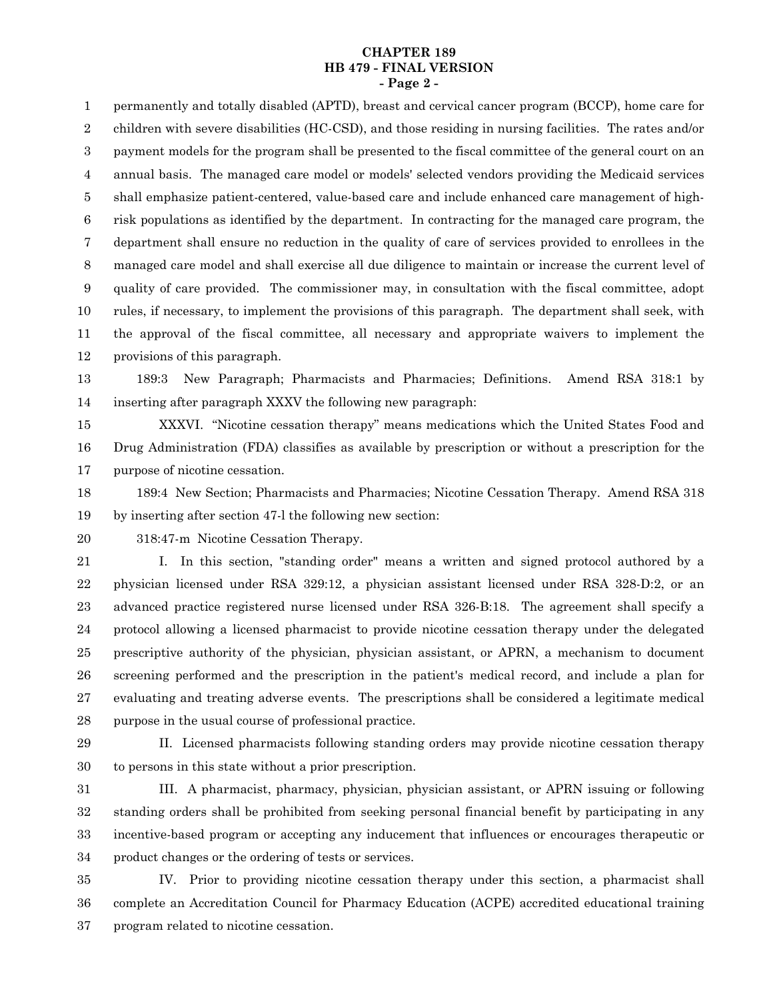### **CHAPTER 189 HB 479 - FINAL VERSION - Page 2 -**

permanently and totally disabled (APTD), breast and cervical cancer program (BCCP), home care for children with severe disabilities (HC-CSD), and those residing in nursing facilities. The rates and/or payment models for the program shall be presented to the fiscal committee of the general court on an annual basis. The managed care model or models' selected vendors providing the Medicaid services shall emphasize patient-centered, value-based care and include enhanced care management of highrisk populations as identified by the department. In contracting for the managed care program, the department shall ensure no reduction in the quality of care of services provided to enrollees in the managed care model and shall exercise all due diligence to maintain or increase the current level of quality of care provided. The commissioner may, in consultation with the fiscal committee, adopt rules, if necessary, to implement the provisions of this paragraph. The department shall seek, with the approval of the fiscal committee, all necessary and appropriate waivers to implement the provisions of this paragraph. 1 2 3 4 5 6 7 8 9 10 11 12

189:3 New Paragraph; Pharmacists and Pharmacies; Definitions. Amend RSA 318:1 by inserting after paragraph XXXV the following new paragraph: 13 14

XXXVI. "Nicotine cessation therapy" means medications which the United States Food and Drug Administration (FDA) classifies as available by prescription or without a prescription for the purpose of nicotine cessation. 15 16 17

189:4 New Section; Pharmacists and Pharmacies; Nicotine Cessation Therapy. Amend RSA 318 by inserting after section 47-l the following new section: 18 19

20

318:47-m Nicotine Cessation Therapy.

I. In this section, "standing order" means a written and signed protocol authored by a physician licensed under RSA 329:12, a physician assistant licensed under RSA 328-D:2, or an advanced practice registered nurse licensed under RSA 326-B:18. The agreement shall specify a protocol allowing a licensed pharmacist to provide nicotine cessation therapy under the delegated prescriptive authority of the physician, physician assistant, or APRN, a mechanism to document screening performed and the prescription in the patient's medical record, and include a plan for evaluating and treating adverse events. The prescriptions shall be considered a legitimate medical purpose in the usual course of professional practice. 21 22 23 24 25 26 27 28

II. Licensed pharmacists following standing orders may provide nicotine cessation therapy to persons in this state without a prior prescription. 29 30

III. A pharmacist, pharmacy, physician, physician assistant, or APRN issuing or following standing orders shall be prohibited from seeking personal financial benefit by participating in any incentive-based program or accepting any inducement that influences or encourages therapeutic or product changes or the ordering of tests or services. 31 32 33 34

IV. Prior to providing nicotine cessation therapy under this section, a pharmacist shall complete an Accreditation Council for Pharmacy Education (ACPE) accredited educational training program related to nicotine cessation. 35 36 37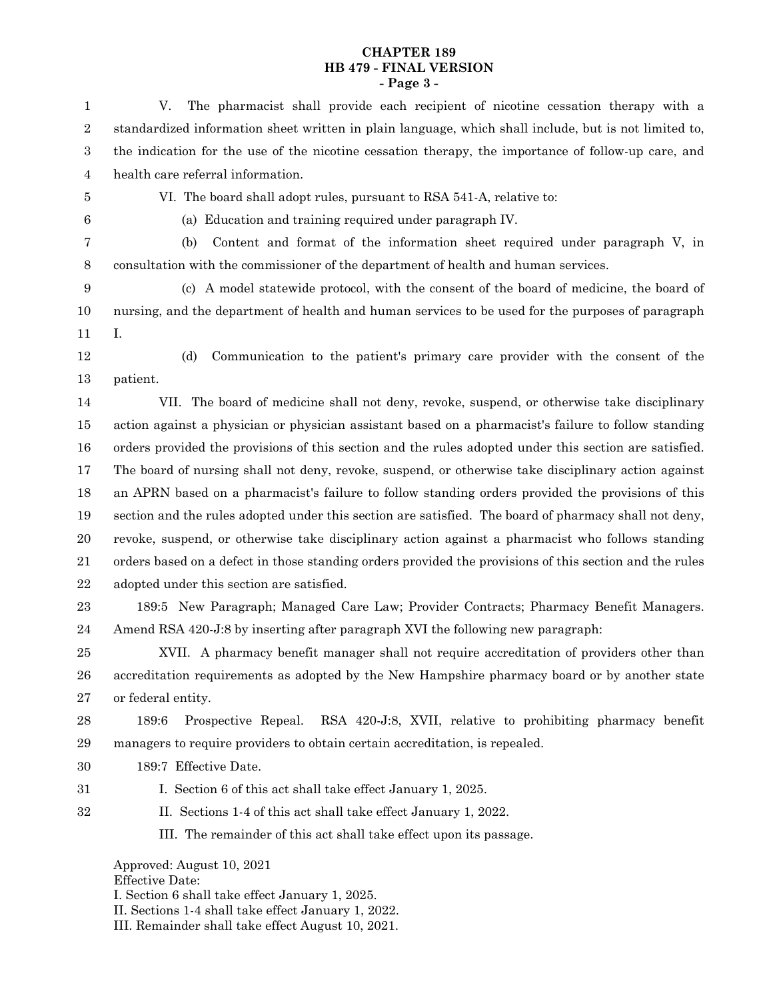## **CHAPTER 189 HB 479 - FINAL VERSION - Page 3 -**

| 1              | The pharmacist shall provide each recipient of nicotine cessation therapy with a<br>V.                  |
|----------------|---------------------------------------------------------------------------------------------------------|
| $\overline{2}$ | standardized information sheet written in plain language, which shall include, but is not limited to,   |
| 3              | the indication for the use of the nicotine cessation therapy, the importance of follow-up care, and     |
| 4              | health care referral information.                                                                       |
| 5              | VI. The board shall adopt rules, pursuant to RSA 541-A, relative to:                                    |
| 6              | (a) Education and training required under paragraph IV.                                                 |
| 7              | Content and format of the information sheet required under paragraph V, in<br>(b)                       |
| 8              | consultation with the commissioner of the department of health and human services.                      |
| 9              | (c) A model statewide protocol, with the consent of the board of medicine, the board of                 |
| 10             | nursing, and the department of health and human services to be used for the purposes of paragraph       |
| 11             | Ι.                                                                                                      |
| 12             | (d)<br>Communication to the patient's primary care provider with the consent of the                     |
| 13             | patient.                                                                                                |
| 14             | VII. The board of medicine shall not deny, revoke, suspend, or otherwise take disciplinary              |
| 15             | action against a physician or physician assistant based on a pharmacist's failure to follow standing    |
| 16             | orders provided the provisions of this section and the rules adopted under this section are satisfied.  |
| 17             | The board of nursing shall not deny, revoke, suspend, or otherwise take disciplinary action against     |
| 18             | an APRN based on a pharmacist's failure to follow standing orders provided the provisions of this       |
| 19             | section and the rules adopted under this section are satisfied. The board of pharmacy shall not deny,   |
| 20             | revoke, suspend, or otherwise take disciplinary action against a pharmacist who follows standing        |
| 21             | orders based on a defect in those standing orders provided the provisions of this section and the rules |
| 22             | adopted under this section are satisfied.                                                               |
| 23             | 189:5 New Paragraph; Managed Care Law; Provider Contracts; Pharmacy Benefit Managers.                   |
| 24             | Amend RSA 420-J:8 by inserting after paragraph XVI the following new paragraph:                         |
| 25             | XVII. A pharmacy benefit manager shall not require accreditation of providers other than                |
| 26             | accreditation requirements as adopted by the New Hampshire pharmacy board or by another state           |
| 27             | or federal entity.                                                                                      |
| 28             | RSA 420-J:8, XVII, relative to prohibiting pharmacy benefit<br>189:6<br>Prospective Repeal.             |
| 29             | managers to require providers to obtain certain accreditation, is repealed.                             |
| 30             | 189:7 Effective Date.                                                                                   |
| 31             | I. Section 6 of this act shall take effect January 1, 2025.                                             |
| 32             | II. Sections 1-4 of this act shall take effect January 1, 2022.                                         |
|                | III. The remainder of this act shall take effect upon its passage.                                      |
|                | Approved: August 10, 2021                                                                               |
|                | <b>Effective Date:</b><br>I. Section 6 shall take effect January 1, 2025.                               |
|                | II. Sections 1-4 shall take effect January 1, 2022.                                                     |

III. Remainder shall take effect August 10, 2021.